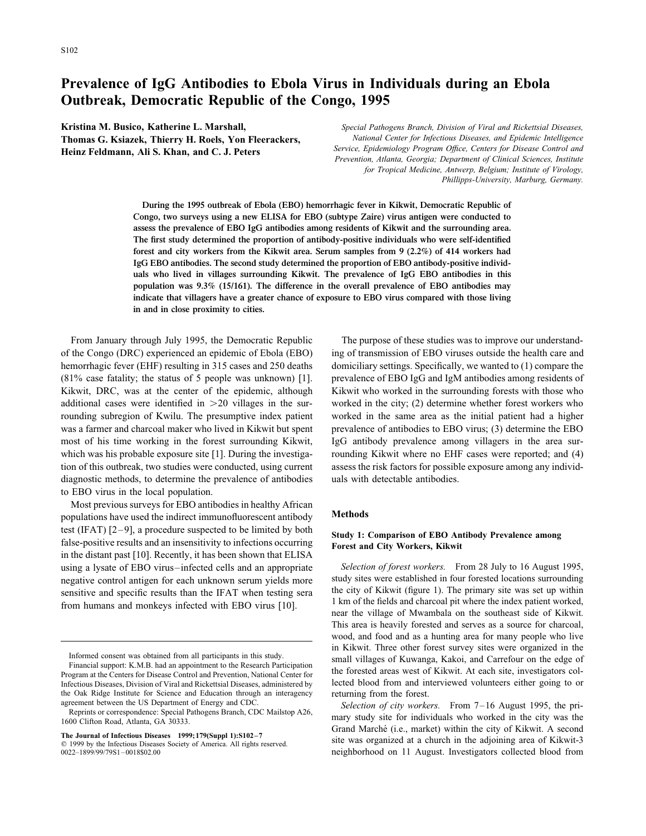## **Prevalence of IgG Antibodies to Ebola Virus in Individuals during an Ebola Outbreak, Democratic Republic of the Congo, 1995**

**Kristina M. Busico, Katherine L. Marshall,** *Special Pathogens Branch, Division of Viral and Rickettsial Diseases,*

**Thomas G. Ksiazek, Thierry H. Roels, Yon Fleerackers,** *National Center for Infectious Diseases, and Epidemic Intelligence Service, Epidemiology Program Office, Centers for Disease Control and* **Heinz Feldmann, Ali S. Khan, and C. J. Peters** *Prevention, Atlanta, Georgia; Department of Clinical Sciences, Institute for Tropical Medicine, Antwerp, Belgium; Institute of Virology, Phillipps-University, Marburg, Germany.*

> **During the 1995 outbreak of Ebola (EBO) hemorrhagic fever in Kikwit, Democratic Republic of Congo, two surveys using a new ELISA for EBO (subtype Zaire) virus antigen were conducted to assess the prevalence of EBO IgG antibodies among residents of Kikwit and the surrounding area. The first study determined the proportion of antibody-positive individuals who were self-identified forest and city workers from the Kikwit area. Serum samples from 9 (2.2%) of 414 workers had IgG EBO antibodies. The second study determined the proportion of EBO antibody-positive individuals who lived in villages surrounding Kikwit. The prevalence of IgG EBO antibodies in this population was 9.3% (15/161). The difference in the overall prevalence of EBO antibodies may indicate that villagers have a greater chance of exposure to EBO virus compared with those living in and in close proximity to cities.**

of the Congo (DRC) experienced an epidemic of Ebola (EBO) ing of transmission of EBO viruses outside the health care and hemorrhagic fever (EHF) resulting in 315 cases and 250 deaths domiciliary settings. Specifically, we wanted to (1) compare the (81% case fatality; the status of 5 people was unknown) [1]. prevalence of EBO IgG and IgM antibodies among residents of Kikwit, DRC, was at the center of the epidemic, although Kikwit who worked in the surrounding forests with those who additional cases were identified in  $>$ 20 villages in the sur- worked in the city; (2) determine whether forest workers who rounding subregion of Kwilu. The presumptive index patient worked in the same area as the initial patient had a higher was a farmer and charcoal maker who lived in Kikwit but spent prevalence of antibodies to EBO virus; (3) determine the EBO most of his time working in the forest surrounding Kikwit, IgG antibody prevalence among villagers in the area surwhich was his probable exposure site [1]. During the investiga-<br>
counding Kikwit where no EHF cases were reported; and (4) tion of this outbreak, two studies were conducted, using current assess the risk factors for possible exposure among any individdiagnostic methods, to determine the prevalence of antibodies uals with detectable antibodies. to EBO virus in the local population.

Most previous surveys for EBO antibodies in healthy African populations have used the indirect immunofluorescent antibody **Methods** test (IFAT) [2-9], a procedure suspected to be limited by both<br>false-positive results and an insensitivity to infections occurring<br>in the distant past [10]. Recently, it has been shown that ELISA using a lysate of EBO virus–infected cells and an appropriate *Selection of forest workers.* From 28 July to 16 August 1995,

From January through July 1995, the Democratic Republic The purpose of these studies was to improve our understand-

negative control antigen for each unknown serum yields more study sites were established in four forested locations surrounding<br>sensitive and specific results than the IFAT when testing sera the city of Kikwit (figure 1). sensitive and specific results than the IFAT when testing sera<br>from humans and monkeys infected with EBO virus [10].<br>I km of the fields and charcoal pit where the index patient worked,<br>near the village of Mwambala on the s This area is heavily forested and serves as a source for charcoal, wood, and food and as a hunting area for many people who live Informed consent was obtained from all participants in this study.<br>
Financial support: K.M.B. had an appointment to the Research Participation<br>
Program at the Centers for Disease Control and Prevention, National Center for

agreement between the US Department of Energy and CDC.<br>
Reprints or correspondence: Special Pathogens Branch, CDC Mailstop A26,<br>
1600 Clifton Road, Atlanta, GA 30333.<br>
The Journal of Infectious Diseases 1999;179(Suppl 1):S 0022–1899/99/7981–0018802.00 emerica. All rights reserved.<br>
0022–1899/99/7981–0018802.00 neighborhood on 11 August. Investigators collected blood from

Infectious Diseases, Division of Viral and Rickettsial Diseases, administered by the Oak Ridge Institute for Science and Education through an interagency returning from the forest.<br>agreement between the US Department of Energy and CDC.<br>Selection of city worker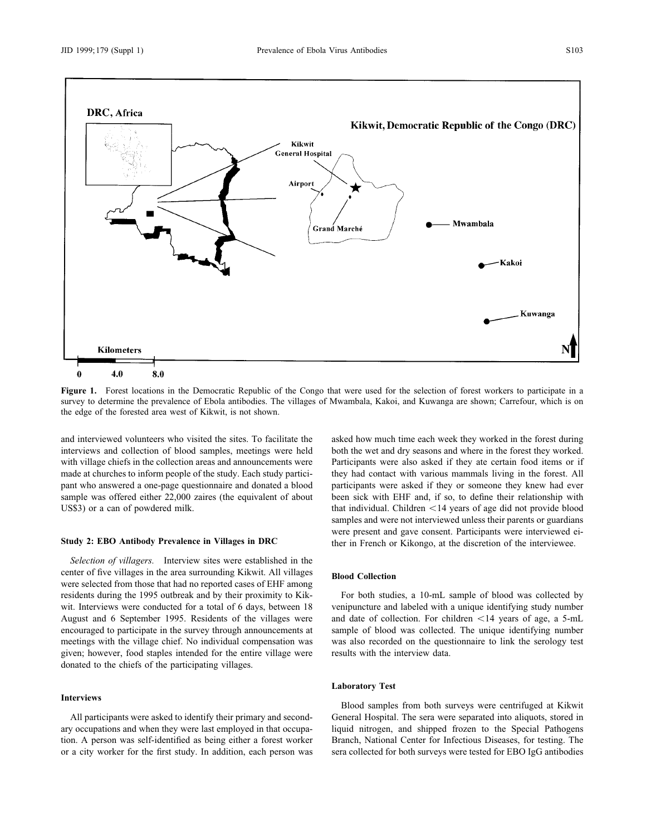

Figure 1. Forest locations in the Democratic Republic of the Congo that were used for the selection of forest workers to participate in a survey to determine the prevalence of Ebola antibodies. The villages of Mwambala, Kakoi, and Kuwanga are shown; Carrefour, which is on the edge of the forested area west of Kikwit, is not shown.

and interviewed volunteers who visited the sites. To facilitate the asked how much time each week they worked in the forest during

*Selection of villagers.* Interview sites were established in the center of five villages in the area surrounding Kikwit. All villages **Blood Collection** were selected from those that had no reported cases of EHF among given; however, food staples intended for the entire village were results with the interview data. donated to the chiefs of the participating villages.

## **Interviews**

ary occupations and when they were last employed in that occupa- liquid nitrogen, and shipped frozen to the Special Pathogens tion. A person was self-identified as being either a forest worker Branch, National Center for Infectious Diseases, for testing. The or a city worker for the first study. In addition, each person was sera collected for both surveys were tested for EBO IgG antibodies

interviews and collection of blood samples, meetings were held both the wet and dry seasons and where in the forest they worked. with village chiefs in the collection areas and announcements were Participants were also asked if they ate certain food items or if made at churches to inform people of the study. Each study partici- they had contact with various mammals living in the forest. All pant who answered a one-page questionnaire and donated a blood participants were asked if they or someone they knew had ever sample was offered either 22,000 zaires (the equivalent of about been sick with EHF and, if so, to define their relationship with US\$3) or a can of powdered milk. that individual. Children <14 years of age did not provide blood samples and were not interviewed unless their parents or guardians were present and gave consent. Participants were interviewed ei-**Study 2: EBO Antibody Prevalence in Villages in DRC** ther in French or Kikongo, at the discretion of the interviewee.

residents during the 1995 outbreak and by their proximity to Kik- For both studies, a 10-mL sample of blood was collected by wit. Interviews were conducted for a total of 6 days, between 18 venipuncture and labeled with a unique identifying study number August and 6 September 1995. Residents of the villages were and date of collection. For children <14 years of age, a 5-mL encouraged to participate in the survey through announcements at sample of blood was collected. The unique identifying number meetings with the village chief. No individual compensation was was also recorded on the questionnaire to link the serology test

### **Laboratory Test**

Blood samples from both surveys were centrifuged at Kikwit All participants were asked to identify their primary and second- General Hospital. The sera were separated into aliquots, stored in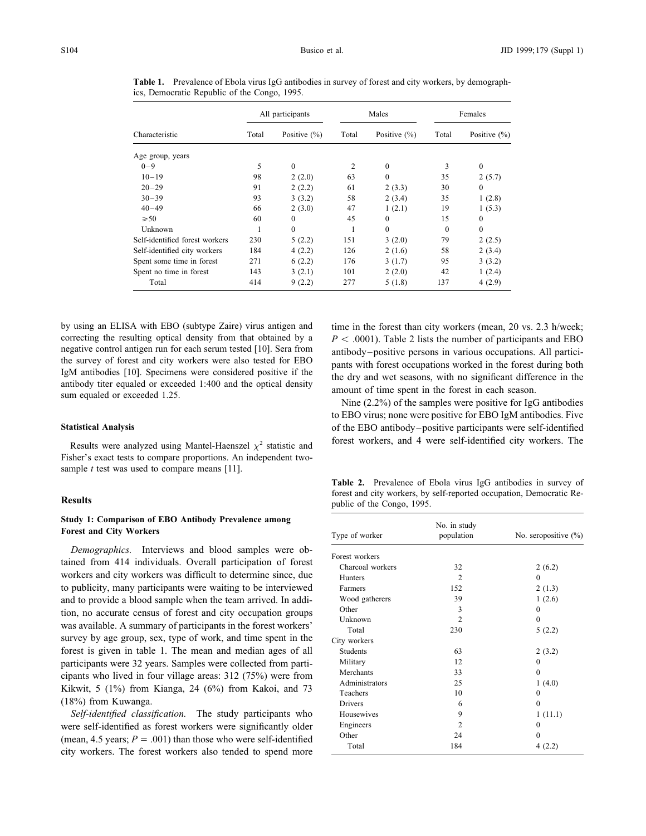| Characteristic                 | All participants |                  | Males |                  | Females  |                  |
|--------------------------------|------------------|------------------|-------|------------------|----------|------------------|
|                                | Total            | Positive $(\% )$ | Total | Positive $(\% )$ | Total    | Positive $(\% )$ |
| Age group, years               |                  |                  |       |                  |          |                  |
| $0 - 9$                        | 5                | $\theta$         | 2     | $\mathbf{0}$     | 3        | $\Omega$         |
| $10 - 19$                      | 98               | 2(2.0)           | 63    | $\theta$         | 35       | 2(5.7)           |
| $20 - 29$                      | 91               | 2(2.2)           | 61    | 2(3.3)           | 30       | $\Omega$         |
| $30 - 39$                      | 93               | 3(3.2)           | 58    | 2(3.4)           | 35       | 1(2.8)           |
| $40 - 49$                      | 66               | 2(3.0)           | 47    | 1(2.1)           | 19       | 1(5.3)           |
| $\geq 50$                      | 60               | $\theta$         | 45    | $\theta$         | 15       | $\mathbf{0}$     |
| Unknown                        |                  | $\Omega$         |       | $\theta$         | $\Omega$ | $\theta$         |
| Self-identified forest workers | 230              | 5(2.2)           | 151   | 3(2.0)           | 79       | 2(2.5)           |
| Self-identified city workers   | 184              | 4(2.2)           | 126   | 2(1.6)           | 58       | 2(3.4)           |
| Spent some time in forest      | 271              | 6(2.2)           | 176   | 3(1.7)           | 95       | 3(3.2)           |
| Spent no time in forest        | 143              | 3(2.1)           | 101   | 2(2.0)           | 42       | 1(2.4)           |
| Total                          | 414              | 9(2.2)           | 277   | 5(1.8)           | 137      | 4(2.9)           |

**Table 1.** Prevalence of Ebola virus IgG antibodies in survey of forest and city workers, by demographics, Democratic Republic of the Congo, 1995.

by using an ELISA with EBO (subtype Zaire) virus antigen and time in the forest than city workers (mean, 20 vs. 2.3 h/week; correcting the resulting optical density from that obtained by a  $P < .0001$ ). Table 2 lists the number of participants and EBO negative control antigen run for each serum tested [10]. Sera from antibody–positive persons in negative control antigen run for each serum tested [10]. Sera from<br>the survey of forest and city workers were also tested for EBO<br>IgM antibodies [10]. Specimens were considered positive if the<br>antibody titer equaled or exc

Fisher's exact tests to compare proportions. An independent twosample *t* test was used to compare means [11].

# **Study 1: Comparison of EBO Antibody Prevalence among Forest and City Workers**

*Demographics.* Interviews and blood samples were obtained from 414 individuals. Overall participation of forest workers and city workers was difficult to determine since, due to publicity, many participants were waiting to be interviewed and to provide a blood sample when the team arrived. In addition, no accurate census of forest and city occupation groups was available. A summary of participants in the forest workers' survey by age group, sex, type of work, and time spent in the forest is given in table 1. The mean and median ages of all participants were 32 years. Samples were collected from participants who lived in four village areas:  $312$  (75%) were from Kikwit, 5 (1%) from Kianga, 24 (6%) from Kakoi, and 73  $(18\%)$  from Kuwanga.

*Self-identified classification*. The study participants who were self-identified as forest workers were significantly older (mean, 4.5 years;  $P = .001$ ) than those who were self-identified city workers. The forest workers also tended to spend more

to EBO virus; none were positive for EBO IgM antibodies. Five **Statistical Analysis** of the EBO antibody–positive participants were self-identified Results were analyzed using Mantel-Haenszel  $\chi^2$  statistic and forest workers, and 4 were self-identified city workers. The

**Table 2.** Prevalence of Ebola virus IgG antibodies in survey of forest and city workers, by self-reported occupation, Democratic Re- **Results** public of the Congo, 1995.

| Type of worker   | No. in study<br>population | No. seropositive $(\% )$ |  |  |
|------------------|----------------------------|--------------------------|--|--|
|                  |                            |                          |  |  |
| Forest workers   |                            |                          |  |  |
| Charcoal workers | 32                         | 2(6.2)                   |  |  |
| Hunters          | $\overline{c}$             | $\theta$                 |  |  |
| Farmers          | 152                        | 2(1.3)                   |  |  |
| Wood gatherers   | 39                         | 1(2.6)                   |  |  |
| Other            | 3                          | $\Omega$                 |  |  |
| Unknown          | $\overline{2}$             | $\theta$                 |  |  |
| Total            | 230                        | 5(2.2)                   |  |  |
| City workers     |                            |                          |  |  |
| <b>Students</b>  | 63                         | 2(3.2)                   |  |  |
| Military         | 12                         | $\Omega$                 |  |  |
| Merchants        | 33                         | $\theta$                 |  |  |
| Administrators   | 25                         | 1(4.0)                   |  |  |
| Teachers         | 10                         | $\theta$                 |  |  |
| <b>Drivers</b>   | 6                          | $\theta$                 |  |  |
| Housewives       | 9                          | 1(11.1)                  |  |  |
| Engineers        | $\overline{c}$             | $\theta$                 |  |  |
| Other            | 24                         | $\theta$                 |  |  |
| Total            | 184                        | 4(2.2)                   |  |  |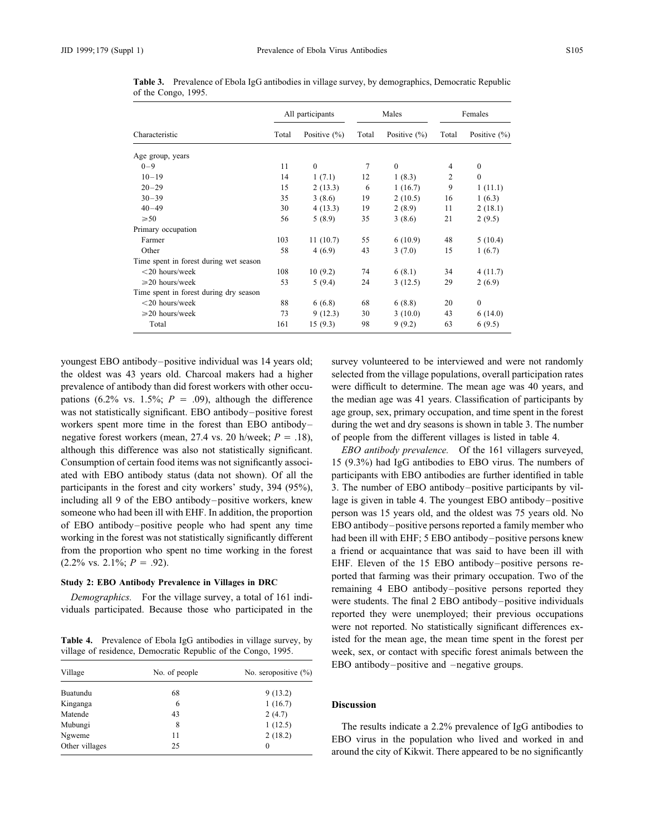|                                        | All participants |                  | Males |                  | Females        |                  |
|----------------------------------------|------------------|------------------|-------|------------------|----------------|------------------|
| Characteristic                         | Total            | Positive $(\% )$ | Total | Positive $(\% )$ | Total          | Positive $(\% )$ |
| Age group, years                       |                  |                  |       |                  |                |                  |
| $0 - 9$                                | 11               | $\mathbf{0}$     | 7     | $\mathbf{0}$     | $\overline{4}$ | $\mathbf{0}$     |
| $10 - 19$                              | 14               | 1(7.1)           | 12    | 1(8.3)           | $\overline{c}$ | $\mathbf{0}$     |
| $20 - 29$                              | 15               | 2(13.3)          | 6     | 1(16.7)          | 9              | 1(11.1)          |
| $30 - 39$                              | 35               | 3(8.6)           | 19    | 2(10.5)          | 16             | 1(6.3)           |
| $40 - 49$                              | 30               | 4(13.3)          | 19    | 2(8.9)           | 11             | 2(18.1)          |
| $\geq 50$                              | 56               | 5(8.9)           | 35    | 3(8.6)           | 21             | 2(9.5)           |
| Primary occupation                     |                  |                  |       |                  |                |                  |
| Farmer                                 | 103              | 11(10.7)         | 55    | 6(10.9)          | 48             | 5(10.4)          |
| Other                                  | 58               | 4(6.9)           | 43    | 3(7.0)           | 15             | 1(6.7)           |
| Time spent in forest during wet season |                  |                  |       |                  |                |                  |
| $<$ 20 hours/week                      | 108              | 10(9.2)          | 74    | 6(8.1)           | 34             | 4(11.7)          |
| $\geq 20$ hours/week                   | 53               | 5(9.4)           | 24    | 3(12.5)          | 29             | 2(6.9)           |
| Time spent in forest during dry season |                  |                  |       |                  |                |                  |
| $<$ 20 hours/week                      | 88               | 6(6.8)           | 68    | 6(8.8)           | 20             | $\mathbf{0}$     |
| $\geq 20$ hours/week                   | 73               | 9(12.3)          | 30    | 3(10.0)          | 43             | 6(14.0)          |
| Total                                  | 161              | 15(9.3)          | 98    | 9(9.2)           | 63             | 6(9.5)           |

**Table 3.** Prevalence of Ebola IgG antibodies in village survey, by demographics, Democratic Republic of the Congo, 1995.

youngest EBO antibody–positive individual was 14 years old; survey volunteered to be interviewed and were not randomly the oldest was 43 years old. Charcoal makers had a higher selected from the village populations, overall participation rates prevalence of antibody than did forest workers with other occu- were difficult to determine. The mean age was 40 years, and pations (6.2% vs. 1.5%;  $P = .09$ ), although the difference the median age was 41 years. Classification of participants by was not statistically significant. EBO antibody–positive forest age group, sex, primary occupation, and time spent in the forest workers spent more time in the forest than EBO antibody-<br>during the wet and dry seasons is shown in table 3. The number negative forest workers (mean, 27.4 vs. 20 h/week;  $P = .18$ ), of people from the different villages is listed in table 4. although this difference was also not statistically significant. *EBO antibody prevalence.* Of the 161 villagers surveyed, Consumption of certain food items was not significantly associ- 15 (9.3%) had IgG antibodies to EBO virus. The numbers of ated with EBO antibody status (data not shown). Of all the participants with EBO antibodies are further identified in table participants in the forest and city workers' study, 394 (95%), 3. The number of EBO antibody–positive participants by vilincluding all 9 of the EBO antibody–positive workers, knew lage is given in table 4. The youngest EBO antibody–positive someone who had been ill with EHF. In addition, the proportion person was 15 years old, and the oldest was 75 years old. No of EBO antibody–positive people who had spent any time EBO antibody–positive persons reported a family member who working in the forest was not statistically significantly different had been ill with EHF; 5 EBO antibody–positive persons knew from the proportion who spent no time working in the forest a friend or acquaintance that was said to have been ill with

village of residence, Democratic Republic of the Congo, 1995. week, sex, or contact with specific forest animals between the

| Village        | No. of people | No. seropositive $(\% )$ |  |  |
|----------------|---------------|--------------------------|--|--|
| Buatundu       | 68            | 9(13.2)                  |  |  |
| Kinganga       | 6             | 1(16.7)                  |  |  |
| Matende        | 43            | 2(4.7)                   |  |  |
| Mubungi        | 8             | 1(12.5)                  |  |  |
| Ngweme         | 11            | 2(18.2)                  |  |  |
| Other villages | 25            | 0                        |  |  |

 $(2.2\% \text{ vs. } 2.1\%; P = .92).$  EHF. Eleven of the 15 EBO antibody–positive persons re-Study 2: EBO Antibody Prevalence in Villages in DRC<br>
Demographics. For the village survey, a total of 161 indi-<br>
viduals participated. Because those who participated in the separate reported they were students. The final 2 were not reported. No statistically significant differences ex-**Table 4.** Prevalence of Ebola IgG antibodies in village survey, by isted for the mean age, the mean time spent in the forest per EBO antibody–positive and  $-$ negative groups.

## **Discussion**

The results indicate a 2.2% prevalence of IgG antibodies to EBO virus in the population who lived and worked in and around the city of Kikwit. There appeared to be no significantly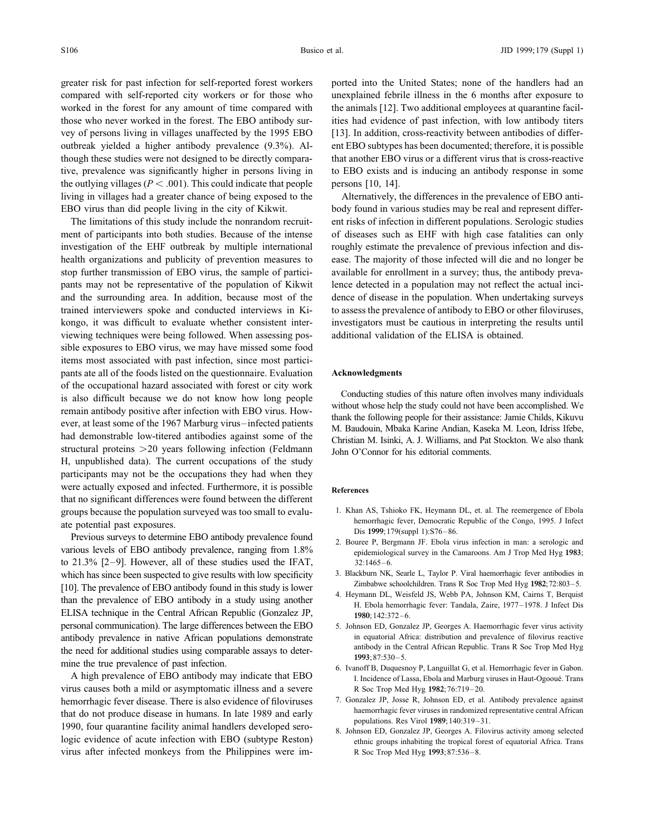greater risk for past infection for self-reported forest workers ported into the United States; none of the handlers had an the outlying villages  $(P < .001)$ . This could indicate that people persons [10, 14]. living in villages had a greater chance of being exposed to the Alternatively, the differences in the prevalence of EBO anti-EBO virus than did people living in the city of Kikwit. body found in various studies may be real and represent differ-

ment of participants into both studies. Because of the intense of diseases such as EHF with high case fatalities can only investigation of the EHF outbreak by multiple international roughly estimate the prevalence of previous infection and dishealth organizations and publicity of prevention measures to ease. The majority of those infected will die and no longer be stop further transmission of EBO virus, the sample of partici- available for enrollment in a survey; thus, the antibody prevapants may not be representative of the population of Kikwit lence detected in a population may not reflect the actual inciand the surrounding area. In addition, because most of the dence of disease in the population. When undertaking surveys trained interviewers spoke and conducted interviews in Ki- to assess the prevalence of antibody to EBO or other filoviruses, kongo, it was difficult to evaluate whether consistent inter- investigators must be cautious in interpreting the results until viewing techniques were being followed. When assessing pos- additional validation of the ELISA is obtained. sible exposures to EBO virus, we may have missed some food items most associated with past infection, since most participants ate all of the foods listed on the questionnaire. Evaluation **Acknowledgments** of the occupational hazard associated with forest or city work<br>is also difficult because we do not know how long people<br>remain antibody positive after infection with EBO virus. How-<br>ever, at least some of the 1967 Marburg structural proteins  $>$  20 years following infection (Feldmann John O'Connor for his editorial comments. H, unpublished data). The current occupations of the study participants may not be the occupations they had when they were actually exposed and infected. Furthermore, it is possible **References** that no significant differences were found between the different groups because the population surveyed was too small to evalu-<br>
1. Khan AS, Tshioko FK, Heymann DL, et. al. The reemergence of Ebola<br>
hemorrhagic fever, Democratic Republic of the Congo, 1995. J Infect

various levels of EBO antibody prevalence, ranging from 1.8% epidemiological survey in the Camaroons. Am J Trop Med Hyg **<sup>1983</sup>**; to  $21.3\%$  [2–9]. However, all of these studies used the IFAT,  $32:1465-6$ . which has since been suspected to give results with low specificity 3. Blackburn NK, Searle L, Taylor P. Viral haemorrhagic fever antibodies in <br>  $\frac{101 \text{ The prevalence of FBO antibody found in this study is lower}}{2 \text{imb above schoolchildren. Trans R Soc Top Med Hyg 1982; 72:803-5.}}$ [10]. The prevalence of EBO antibody found in this study is lower<br>than the prevalence of EBO antibody in a study using another<br>H. Ebola hemorrhagic fever: Tandala, Zaire, 1977–1978. J Infect Dis ELISA technique in the Central African Republic (Gonzalez JP, **<sup>1980</sup>**;142:372–6. personal communication). The large differences between the EBO 5. Johnson ED, Gonzalez JP, Georges A. Haemorrhagic fever virus activity antibody prevalence in native African populations demonstrate in equatorial Africa: distribution and prevalence of filovirus reactive<br>the need for additional studies using comparable assays to deter-<br>antibody in the Centra the need for additional studies using comparable assays to deter-<br>mine the true prevalence of past infection.<br>6. Ivanoff B, Duquesnoy P, Languillat G, et al. Hemorrhagic fever in Gabon.

virus causes both a mild or asymptomatic illness and a severe R Soc Trop Med Hyg 1982;76:719–20. hemorrhagic fever disease. There is also evidence of filoviruses 7. Gonzalez JP, Josse R, Johnson ED, et al. Antibody prevalence against that do not produce disease in humans. In late 1080 and early that do not produce disease in humans. In late 1989 and early<br>1990, four quarantine facility animal handlers developed sero-<br>1990, four quarantine facility animal handlers developed sero-<br>8. Johnson ED, Gonzalez JP, George logic evidence of acute infection with EBO (subtype Reston) ethnic groups inhabiting the tropical forest of equatorial Africa. Trans virus after infected monkeys from the Philippines were im- R Soc Trop Med Hyg **1993**;87:536–8.

compared with self-reported city workers or for those who unexplained febrile illness in the 6 months after exposure to worked in the forest for any amount of time compared with the animals [12]. Two additional employees at quarantine facilthose who never worked in the forest. The EBO antibody sur- ities had evidence of past infection, with low antibody titers vey of persons living in villages unaffected by the 1995 EBO [13]. In addition, cross-reactivity between antibodies of differoutbreak yielded a higher antibody prevalence (9.3%). Al- ent EBO subtypes has been documented; therefore, it is possible though these studies were not designed to be directly compara- that another EBO virus or a different virus that is cross-reactive tive, prevalence was significantly higher in persons living in to EBO exists and is inducing an antibody response in some

The limitations of this study include the nonrandom recruit- ent risks of infection in different populations. Serologic studies

- ate potential past exposures.<br>
Previous surveys to determine EBO antibody prevalence found<br>
Previous surveys to determine EBO antibody prevalence found<br>
2. Bouree P, Bergmann JF. Ebola virus infection in man: a serologic a
	-
	-
	-
	-
	- A high prevalence of EBO antibody may indicate that EBO I. Incidence of Lassa, Ebola and Marburg viruses in Haut-Ogooué. Trans
		-
		-